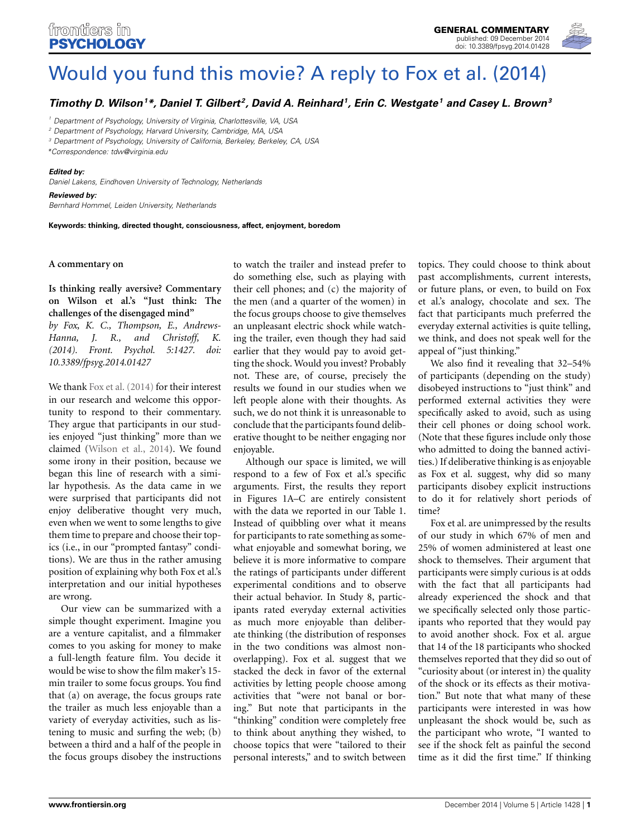

# [Would you fund this movie? A reply to Fox et al. \(2014\)](http://www.frontiersin.org/journal/10.3389/fpsyg.2014.01428/full)

*[Timothy D. Wilson1](http://community.frontiersin.org/people/u/182961) \*, Daniel T. Gilbert 2, [David A. Reinhard1](http://community.frontiersin.org/people/u/193371), [Erin C. Westgate1](http://community.frontiersin.org/people/u/196597) and [Casey L. Brown](http://community.frontiersin.org/people/u/197477)3*

*<sup>1</sup> Department of Psychology, University of Virginia, Charlottesville, VA, USA*

*<sup>2</sup> Department of Psychology, Harvard University, Cambridge, MA, USA*

*<sup>3</sup> Department of Psychology, University of California, Berkeley, Berkeley, CA, USA*

*\*Correspondence: [tdw@virginia.edu](mailto:tdw@virginia.edu)*

#### *Edited by:*

*Daniel Lakens, Eindhoven University of Technology, Netherlands*

### *Reviewed by:*

*Bernhard Hommel, Leiden University, Netherlands*

**Keywords: thinking, directed thought, consciousness, affect, enjoyment, boredom**

### **A commentary on**

**[Is thinking really aversive? Commentary](http://journal.frontiersin.org/Journal/10.3389/fpsyg.2014.01427/full) [on Wilson et al.'s "Just think: The](http://journal.frontiersin.org/Journal/10.3389/fpsyg.2014.01427/full) [challenges of the disengaged mind"](http://journal.frontiersin.org/Journal/10.3389/fpsyg.2014.01427/full)**

*by Fox, K. C., Thompson, E., Andrews-Hanna, J. R., and Christoff, K. (2014). Front. Psychol. 5:1427. doi: 10.3389/fpsyg.2014.01427*

We thank [Fox et al.](#page-1-0) [\(2014\)](#page-1-0) for their interest in our research and welcome this opportunity to respond to their commentary. They argue that participants in our studies enjoyed "just thinking" more than we claimed [\(Wilson et al., 2014](#page-1-1)). We found some irony in their position, because we began this line of research with a similar hypothesis. As the data came in we were surprised that participants did not enjoy deliberative thought very much, even when we went to some lengths to give them time to prepare and choose their topics (i.e., in our "prompted fantasy" conditions). We are thus in the rather amusing position of explaining why both Fox et al.'s interpretation and our initial hypotheses are wrong.

Our view can be summarized with a simple thought experiment. Imagine you are a venture capitalist, and a filmmaker comes to you asking for money to make a full-length feature film. You decide it would be wise to show the film maker's 15 min trailer to some focus groups. You find that (a) on average, the focus groups rate the trailer as much less enjoyable than a variety of everyday activities, such as listening to music and surfing the web; (b) between a third and a half of the people in the focus groups disobey the instructions

to watch the trailer and instead prefer to do something else, such as playing with their cell phones; and (c) the majority of the men (and a quarter of the women) in the focus groups choose to give themselves an unpleasant electric shock while watching the trailer, even though they had said earlier that they would pay to avoid getting the shock. Would you invest? Probably not. These are, of course, precisely the results we found in our studies when we left people alone with their thoughts. As such, we do not think it is unreasonable to conclude that the participants found deliberative thought to be neither engaging nor enjoyable.

Although our space is limited, we will respond to a few of Fox et al.'s specific arguments. First, the results they report in Figures 1A–C are entirely consistent with the data we reported in our Table 1. Instead of quibbling over what it means for participants to rate something as somewhat enjoyable and somewhat boring, we believe it is more informative to compare the ratings of participants under different experimental conditions and to observe their actual behavior. In Study 8, participants rated everyday external activities as much more enjoyable than deliberate thinking (the distribution of responses in the two conditions was almost nonoverlapping). Fox et al. suggest that we stacked the deck in favor of the external activities by letting people choose among activities that "were not banal or boring." But note that participants in the "thinking" condition were completely free to think about anything they wished, to choose topics that were "tailored to their personal interests," and to switch between topics. They could choose to think about past accomplishments, current interests, or future plans, or even, to build on Fox et al.'s analogy, chocolate and sex. The fact that participants much preferred the everyday external activities is quite telling, we think, and does not speak well for the appeal of "just thinking."

We also find it revealing that 32–54% of participants (depending on the study) disobeyed instructions to "just think" and performed external activities they were specifically asked to avoid, such as using their cell phones or doing school work. (Note that these figures include only those who admitted to doing the banned activities.) If deliberative thinking is as enjoyable as Fox et al. suggest, why did so many participants disobey explicit instructions to do it for relatively short periods of time?

Fox et al. are unimpressed by the results of our study in which 67% of men and 25% of women administered at least one shock to themselves. Their argument that participants were simply curious is at odds with the fact that all participants had already experienced the shock and that we specifically selected only those participants who reported that they would pay to avoid another shock. Fox et al. argue that 14 of the 18 participants who shocked themselves reported that they did so out of "curiosity about (or interest in) the quality of the shock or its effects as their motivation." But note that what many of these participants were interested in was how unpleasant the shock would be, such as the participant who wrote, "I wanted to see if the shock felt as painful the second time as it did the first time." If thinking